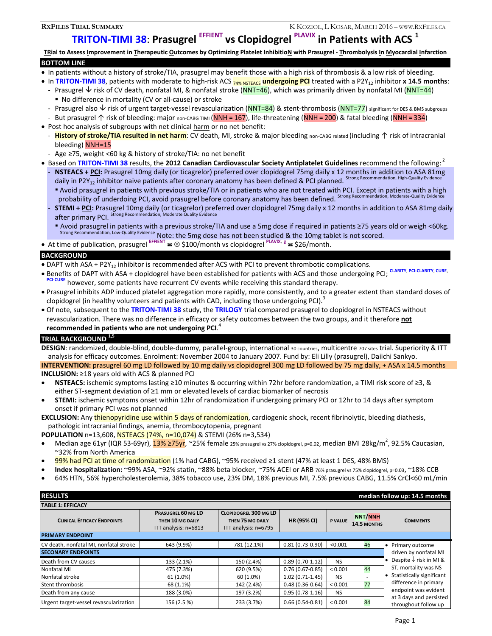# **TRITON-TIMI 38: Prasugrel EFFIENT vs Clopidogrel PLAVIX in Patients with ACS**

TRial to Assess Improvement in Therapeutic Outcomes by Optimizing Platelet InhibitioN with Prasugrel - Thrombolysis In Myocardial Infarction **BOTTOM LINE** 

#### In patients without a history of stroke/TIA, prasugrel may benefit those with a high risk of thrombosis & a low risk of bleeding.

- In TRITON-TIMI 38, patients with moderate to high-risk ACS **74% NSTEACS** undergoing PCI treated with a P2Y<sub>12</sub> inhibitor **x 14.5 months**:
	- Prasugrel  $\vee$  risk of CV death, nonfatal MI, & nonfatal stroke (NNT=46), which was primarily driven by nonfatal MI (NNT=44) No difference in mortality (CV or all-cause) or stroke
	- Prasugrel also  $\vee$  risk of urgent target-vessel revascularization (NNT=84) & stent-thrombosis (NNT=77) significant for DES & BMS subgroups
- But prasugrel 个 risk of bleeding: major non-CABG TIMI (NNH = 167), life-threatening (NNH = 200) & fatal bleeding (NNH = 334)
- Post hoc analysis of subgroups with net clinical harm or no net benefit:
- **History of stroke/TIA resulted in net harm**: CV death, MI, stroke & major bleeding non-CABG related (including ↑ risk of intracranial bleeding) NNH=15
- Age ≥75, weight <60 kg & history of stroke/TIA: no net benefit
- **Based on TRITON-TIMI 38 results, the 2012 Canadian Cardiovascular Society Antiplatelet Guidelines recommend the following:<sup>2</sup>** NSTEACS + PCI: Prasugrel 10mg daily (or ticagrelor) preferred over clopidogrel 75mg daily x 12 months in addition to ASA 81mg daily in P2Y<sub>12</sub> inhibitor naive patients after coronary anatomy has been defined & PCI planned. Strong Rec
	- Avoid prasugrel in patients with previous stroke/TIA or in patients who are not treated with PCI. Except in patients with a high probability of underdoing PCI, avoid prasugrel before coronary anatomy has been defined. Strong Recommendation, Moderate-Quality Evidence
	- **STEMI + PCI:** Prasugrel 10mg daily (or ticagrelor) preferred over clopidogrel 75mg daily x 12 months in addition to ASA 81mg daily after primary PCI. Strong Recommendation, Moderate Quality Evidence
	- Avoid prasugrel in patients with a previous stroke/TIA and use a 5mg dose if required in patients ≥75 years old or weigh <60kg. Strong Recommendation, Low-Quality Evidence Note: the 5mg dose has not been studied & the 10mg tablet is not scored.

At time of publication, prasugrel **EFFIENT** \$100/month vs clopidogrel **PLAVIX**, **<sup>g</sup>** \$26/month.

### **BACKGROUND**

- DAPT with ASA + P2Y<sub>12</sub> inhibitor is recommended after ACS with PCI to prevent thrombotic complications.
- Benefits of DAPT with ASA + clopidogrel have been established for patients with ACS and those undergoing PCI; **CLARITY**, **PCI-CLARITY**, **CURE**, **PCI-CURE** however, some patients have recurrent CV events while receiving this standard therapy.
- Prasugrel inhibits ADP induced platelet aggregation more rapidly, more consistently, and to a greater extent than standard doses of clopidogrel (in healthy volunteers and patients with CAD, including those undergoing PCI).
- Of note, subsequent to the **TRITON-TIMI 38** study, the **TRILOGY** trial compared prasugrel to clopidogrel in NSTEACS without revascularization. There was no difference in efficacy or safety outcomes between the two groups, and it therefore **not recommended in patients who are not undergoing PCI**. 4

# **TRIAL BACKGROUND 1,5**

**DESIGN**: randomized, double-blind, double-dummy, parallel-group, international 30 countries, multicentre 707 sites trial. Superiority & ITT analysis for efficacy outcomes. Enrolment: November 2004 to January 2007. Fund by: Eli Lilly (prasugrel), Daiichi Sankyo. **INTERVENTION:** prasugrel 60 mg LD followed by 10 mg daily vs clopidogrel 300 mg LD followed by 75 mg daily, + ASA x 14.5 months

**INCLUSION:** ≥18 years old with ACS & planned PCI

- **NSTEACS:** ischemic symptoms lasting ≥10 minutes & occurring within 72hr before randomization, a TIMI risk score of ≥3, & either ST-segment deviation of ≥1 mm or elevated levels of cardiac biomarker of necrosis
- **STEMI:** ischemic symptoms onset within 12hr of randomization if undergoing primary PCI or 12hr to 14 days after symptom onset if primary PCI was not planned

**EXCLUSION:** Any thienopyridine use within 5 days of randomization, cardiogenic shock, recent fibrinolytic, bleeding diathesis, pathologic intracranial findings, anemia, thrombocytopenia, pregnant

**POPULATION** n=13,608, NSTEACS (74%, n=10,074) & STEMI (26% n=3,534)

- Median age 61yr (IQR 53-69yr), <mark>13% ≥75yr</mark>, ~25% female 25% prasugrel vs 27% clopidogrel, p=0.02, median BMI 28kg/m<sup>2</sup>, 92.5% Caucasian, ~32% from North America
- 99% had PCI at time of randomization (1% had CABG), ~95% received ≥1 stent (47% at least 1 DES, 48% BMS)
- **Index hospitalization:** ~99% ASA, ~92% statin, ~88% beta blocker, ~75% ACEI or ARB 76% prasugrel vs 75% clopidogrel, p=0.03, ~18% CCB
- 64% HTN, 56% hypercholesterolemia, 38% tobacco use, 23% DM, 18% previous MI, 7.5% previous CABG, 11.5% CrCl<60 mL/min

| <b>RESULTS</b><br>median follow up: 14.5 months    |                                                                       |                                                                          |                    |                |                          |                                                 |  |
|----------------------------------------------------|-----------------------------------------------------------------------|--------------------------------------------------------------------------|--------------------|----------------|--------------------------|-------------------------------------------------|--|
| <b>TABLE 1: EFFICACY</b>                           |                                                                       |                                                                          |                    |                |                          |                                                 |  |
| <b>CLINICAL EFFICACY ENDPOINTS</b>                 | <b>PRASUGREL 60 MG LD</b><br>THEN 10 MG DAILY<br>ITT analysis: n=6813 | <b>CLOPIDOGREL 300 MG LD</b><br>THEN 75 MG DAILY<br>ITT analysis: n=6795 | <b>HR (95% CI)</b> | <b>P VALUE</b> | NNT/NNH<br>14.5 MONTHS   | <b>COMMENTS</b>                                 |  |
| <b>PRIMARY ENDPOINT</b>                            |                                                                       |                                                                          |                    |                |                          |                                                 |  |
| CV death, nonfatal MI, nonfatal stroke             | 643 (9.9%)                                                            | 781 (12.1%)                                                              | $0.81(0.73-0.90)$  | < 0.001        | 46                       | Primary outcome                                 |  |
| driven by nonfatal MI<br><b>SECONARY ENDPOINTS</b> |                                                                       |                                                                          |                    |                |                          |                                                 |  |
| Death from CV causes                               | 133 (2.1%)                                                            | 150 (2.4%)                                                               | $0.89(0.70-1.12)$  | <b>NS</b>      | ٠                        | Despite $\downarrow$ risk in MI &               |  |
| Nonfatal MI                                        | 475 (7.3%)                                                            | 620 (9.5%)                                                               | $0.76(0.67-0.85)$  | ${}< 0.001$    | 44                       | ST, mortality was NS                            |  |
| Nonfatal stroke                                    | 61 (1.0%)                                                             | 60 (1.0%)                                                                | $1.02(0.71-1.45)$  | <b>NS</b>      |                          | Statistically significant                       |  |
| Stent thrombosis                                   | 68 (1.1%)                                                             | 142 (2.4%)                                                               | $0.48(0.36-0.64)$  | ${}< 0.001$    | 77                       | difference in primary                           |  |
| Death from any cause                               | 188 (3.0%)                                                            | 197 (3.2%)                                                               | $0.95(0.78-1.16)$  | <b>NS</b>      | $\overline{\phantom{a}}$ | endpoint was evident                            |  |
| Urgent target-vessel revascularization             | 156 (2.5 %)                                                           | 233 (3.7%)                                                               | $0.66(0.54-0.81)$  | ${}< 0.001$    | 84                       | at 3 days and persisted<br>throughout follow up |  |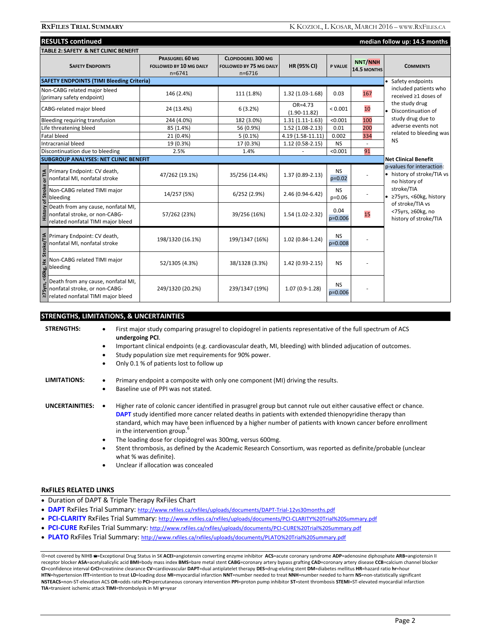|                                                 | <b>RESULTS continued</b><br>median follow up: 14.5 months                                                |                                                          |                                                                         |                                 |                       |                               |                                                                          |  |
|-------------------------------------------------|----------------------------------------------------------------------------------------------------------|----------------------------------------------------------|-------------------------------------------------------------------------|---------------------------------|-----------------------|-------------------------------|--------------------------------------------------------------------------|--|
| <b>TABLE 2: SAFETY &amp; NET CLINIC BENEFIT</b> |                                                                                                          |                                                          |                                                                         |                                 |                       |                               |                                                                          |  |
|                                                 | <b>SAFETY ENDPOINTS</b>                                                                                  | PRASUGREL 60 MG<br>FOLLOWED BY 10 MG DAILY<br>$n = 6741$ | <b>CLOPIDOGREL 300 MG</b><br><b>FOLLOWED BY 75 MG DAILY</b><br>$n=6716$ | HR (95% CI)                     | <b>P VALUE</b>        | <b>NNT/NNH</b><br>14.5 MONTHS | <b>COMMENTS</b>                                                          |  |
|                                                 | <b>SAFETY ENDPOINTS (TIMI Bleeding Criteria)</b>                                                         |                                                          |                                                                         |                                 |                       |                               | • Safety endpoints                                                       |  |
|                                                 | Non-CABG related major bleed<br>(primary safety endpoint)                                                | 146 (2.4%)                                               | 111 (1.8%)                                                              | $1.32(1.03-1.68)$               | 0.03                  | 167                           | included patients who<br>received ≥1 doses of                            |  |
|                                                 | CABG-related major bleed                                                                                 | 24 (13.4%)                                               | 6(3.2%)                                                                 | $OR = 4.73$<br>$(1.90 - 11.82)$ | < 0.001               | 10                            | the study drug<br>• Discontinuation of                                   |  |
|                                                 | Bleeding requiring transfusion                                                                           | 244 (4.0%)                                               | 182 (3.0%)                                                              | $1.31(1.11-1.63)$               | < 0.001               | 100                           | study drug due to                                                        |  |
| Life threatening bleed                          |                                                                                                          | 85 (1.4%)                                                | 56 (0.9%)                                                               | $1.52(1.08-2.13)$               | 0.01                  | 200                           | adverse events not                                                       |  |
| <b>Fatal bleed</b>                              |                                                                                                          | 21 (0.4%)                                                | $5(0.1\%)$                                                              | $4.19(1.58-11.11)$              | 0.002                 | 334                           | related to bleeding was                                                  |  |
|                                                 | Intracranial bleed                                                                                       | 19 (0.3%)                                                | 17 (0.3%)                                                               | $1.12(0.58-2.15)$               | <b>NS</b>             |                               | <b>NS</b>                                                                |  |
|                                                 | Discontinuation due to bleeding                                                                          | 2.5%                                                     | 1.4%                                                                    |                                 | < 0.001               | 91                            |                                                                          |  |
|                                                 | <b>SUBGROUP ANALYSES: NET CLINIC BENEFIT</b>                                                             |                                                          |                                                                         |                                 |                       |                               | <b>Net Clinical Benefit</b>                                              |  |
|                                                 | Primary Endpoint: CV death,<br>nonfatal MI, nonfatal stroke                                              | 47/262 (19.1%)                                           | 35/256 (14.4%)                                                          | $1.37(0.89 - 2.13)$             | <b>NS</b><br>$p=0.02$ |                               | p-values for interaction:<br>• history of stroke/TIA vs<br>no history of |  |
| of Stroke                                       | Non-CABG related TIMI major<br>bleeding                                                                  | 14/257 (5%)                                              | 6/252(2.9%)                                                             | 2.46 (0.94-6.42)                | <b>NS</b><br>$p=0.06$ |                               | stroke/TIA<br>● ≥75yrs, <60kg, history                                   |  |
| <b>History</b>                                  | Death from any cause, nonfatal MI,<br>nonfatal stroke, or non-CABG-<br>related nonfatal TIMI major bleed | 57/262 (23%)                                             | 39/256 (16%)                                                            | 1.54 (1.02-2.32)                | 0.04<br>$p=0.006$     | 15                            | of stroke/TIA vs<br><75yrs, ≥60kg, no<br>history of stroke/TIA           |  |
| Stroke/TIA                                      | Primary Endpoint: CV death,<br>nonfatal MI, nonfatal stroke                                              | 198/1320 (16.1%)                                         | 199/1347 (16%)                                                          | 1.02 (0.84-1.24)                | <b>NS</b><br>p=0.008  |                               |                                                                          |  |
| <60kg, Hx                                       | Non-CABG related TIMI major<br>bleeding                                                                  | 52/1305 (4.3%)                                           | 38/1328 (3.3%)                                                          | 1.42 (0.93-2.15)                | <b>NS</b>             |                               |                                                                          |  |
| 275yrs,                                         | Death from any cause, nonfatal MI,<br>nonfatal stroke, or non-CABG-<br>related nonfatal TIMI major bleed | 249/1320 (20.2%)                                         | 239/1347 (19%)                                                          | $1.07(0.9-1.28)$                | <b>NS</b><br>p=0.006  |                               |                                                                          |  |

## **STRENGTHS, LIMITATIONS, & UNCERTAINTIES**

| <b>STRENGTHS:</b>      | First major study comparing prasugrel to clopidogrel in patients representative of the full spectrum of ACS<br>٠<br>undergoing PCI.                                                                                                                                                                                                                                                                                                                                                                                                                                                                                                                             |
|------------------------|-----------------------------------------------------------------------------------------------------------------------------------------------------------------------------------------------------------------------------------------------------------------------------------------------------------------------------------------------------------------------------------------------------------------------------------------------------------------------------------------------------------------------------------------------------------------------------------------------------------------------------------------------------------------|
|                        | Important clinical endpoints (e.g. cardiovascular death, MI, bleeding) with blinded adjucation of outcomes.<br>٠                                                                                                                                                                                                                                                                                                                                                                                                                                                                                                                                                |
|                        | Study population size met requirements for 90% power.                                                                                                                                                                                                                                                                                                                                                                                                                                                                                                                                                                                                           |
|                        | Only 0.1 % of patients lost to follow up<br>٠                                                                                                                                                                                                                                                                                                                                                                                                                                                                                                                                                                                                                   |
| <b>LIMITATIONS:</b>    | Primary endpoint a composite with only one component (MI) driving the results.<br>٠                                                                                                                                                                                                                                                                                                                                                                                                                                                                                                                                                                             |
|                        | Baseline use of PPI was not stated.<br>٠                                                                                                                                                                                                                                                                                                                                                                                                                                                                                                                                                                                                                        |
| <b>UNCERTAINITIES:</b> | Higher rate of colonic cancer identified in prasugrel group but cannot rule out either causative effect or chance.<br>$\bullet$<br>DAPT study identified more cancer related deaths in patients with extended thienopyridine therapy than<br>standard, which may have been influenced by a higher number of patients with known cancer before enrollment<br>in the intervention group. <sup>6</sup><br>The loading dose for clopidogrel was 300mg, versus 600mg.<br>٠<br>Stent thrombosis, as defined by the Academic Research Consortium, was reported as definite/probable (unclear<br>٠<br>what % was definite).<br>Unclear if allocation was concealed<br>٠ |

### **RxFILES RELATED LINKS**

- Duration of DAPT & Triple Therapy RxFiles Chart
- **DAPT** RxFiles Trial Summary: http://www.rxfiles.ca/rxfiles/uploads/documents/DAPT-Trial-12vs30months.pdf
- **PCI-CLARITY** RxFiles Trial Summary: http://www.rxfiles.ca/rxfiles/uploads/documents/PCI-CLARITY%20Trial%20Summary.pdf
- **PCI-CURE** RxFiles Trial Summary: http://www.rxfiles.ca/rxfiles/uploads/documents/PCI-CURE%20Trial%20Summary.pdf
- **PLATO** RxFiles Trial Summary: http://www.rxfiles.ca/rxfiles/uploads/documents/PLATO%20Trial%20Summary.pdf

=not covered by NIHB =Exceptional Drug Status in SK **ACEI**=angiotensin converting enzyme inhibitor **ACS**=acute coronary syndrome **ADP**=adenosine diphosphate **ARB**=angiotensin II receptor blocker **ASA**=acetylsalicylic acid **BMI**=body mass index **BMS**=bare metal stent **CABG**=coronary artery bypass grafting **CAD**=coronary artery disease **CCB**=calcium channel blocker **CI**=confidence interval **CrCl**=creatinine clearance **CV**=cardiovascular **DAPT**=dual antiplatelet therapy **DES**=drug-eluting stent **DM**=diabetes mellitus **HR**=hazard ratio **hr**=hour **HTN**=hypertension **ITT**=intention to treat **LD**=loading dose **MI**=myocardial infarction **NNT**=number needed to treat **NNH**=number needed to harm **NS**=non-statistically significant **NSTEACS**=non-ST-elevation ACS **OR**=odds ratio **PCI**=percutaneous coronary intervention **PPI**=proton pump inhibitor **ST**=stent thrombosis **STEMI**=ST-elevated myocardial infarction **TIA**=transient ischemic attack **TIMI**=thrombolysis in MI **yr**=year